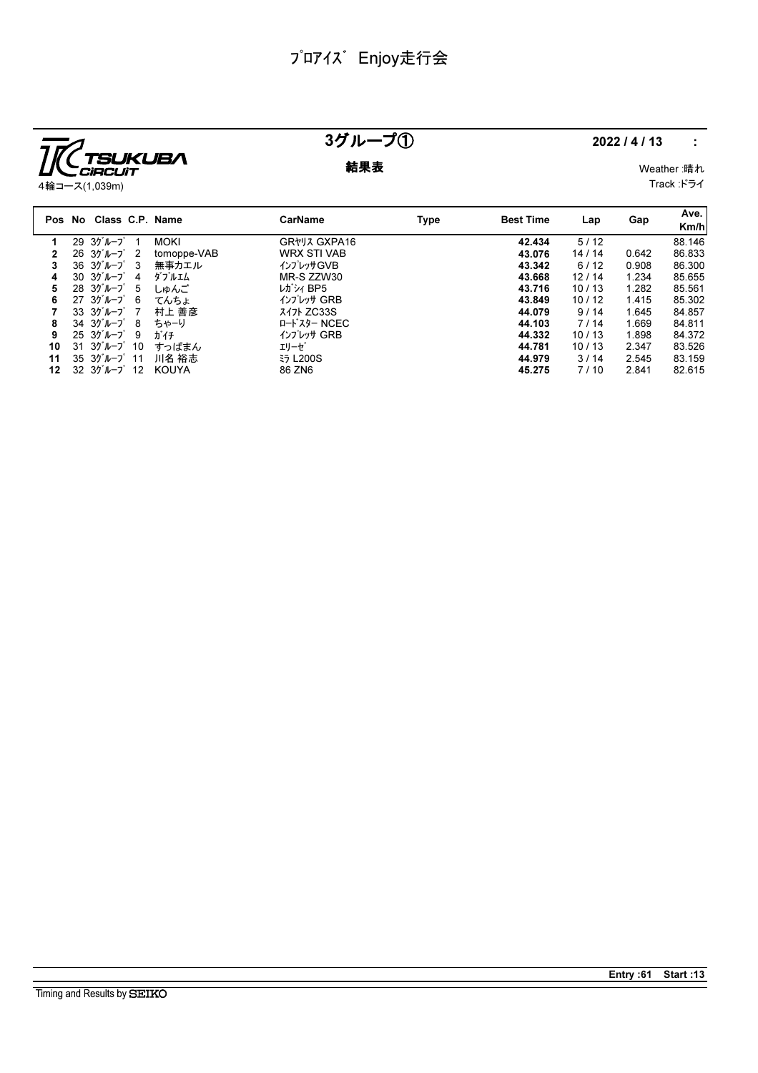

# 3グループ① 2022/4/13 :

**結果表** Weather :晴れ Track :ドライ

|    | Pos No Class C.P. Name                          |             | <b>CarName</b>     | Type | <b>Best Time</b> | Lap   | Gap   | Ave.<br>Km/h |
|----|-------------------------------------------------|-------------|--------------------|------|------------------|-------|-------|--------------|
|    | $29.357 - 7^{\circ}$ 1                          | <b>MOKI</b> | GR*J7 GXPA16       |      | 42.434           | 5/12  |       | 88.146       |
| 2  | $26.30^{\circ}$ $\mu$ $-7^{\circ}$ 2            | tomoppe-VAB | <b>WRX STI VAB</b> |      | 43.076           | 14/14 | 0.642 | 86.833       |
| 3  | $36 \t37h - 7$ 3                                | 無事カエル       | インプレッサGVB          |      | 43.342           | 6/12  | 0.908 | 86.300       |
| 4  | $30 \frac{3}{7} h - 7$<br>-4                    | ダブルエム       | MR-S ZZW30         |      | 43.668           | 12/14 | 1.234 | 85.655       |
| 5  | $28 \t37'' - 7^{\circ} 5$                       | しゅんご        | レガシィ BP5           |      | 43.716           | 10/13 | 1.282 | 85.561       |
| 6  | $27 \t30^{\circ} \nu - 7^{\circ} 6$             | てんちょ        | インプレッサ GRB         |      | 43.849           | 10/12 | 1.415 | 85.302       |
|    | $33.30$ <sup>*</sup> $\nu$ - $7^\circ$ 7        | 村上 善彦       | <b>347 ZC33S</b>   |      | 44.079           | 9/14  | 1.645 | 84.857       |
| 8  | $34 \t37'' + 7^{\circ} 8$                       | ちゃーり        | ロードスター NCEC        |      | 44.103           | 7/14  | 1.669 | 84.811       |
| 9  | $25.30 \text{ m} - 7^\circ$ 9                   | ガイチ         | インプレッサ GRB         |      | 44.332           | 10/13 | 1.898 | 84.372       |
| 10 | $31 \t37''$ $\nu - 7' \t10$                     | すっぱまん       | エリーゼ               |      | 44.781           | 10/13 | 2.347 | 83.526       |
| 11 | $35.30$ <sup>'</sup> $\mu$ $-2$ <sup>°</sup> 11 | 川名 裕志       | <b>ED L200S</b>    |      | 44.979           | 3/14  | 2.545 | 83.159       |
| 12 | $32 \frac{3}{7}$ $\mu$ $-2 \frac{3}{7}$ 12      | KOUYA       | 86 ZN6             |      | 45.275           | 7/10  | 2.841 | 82.615       |

Entry :61 Start :13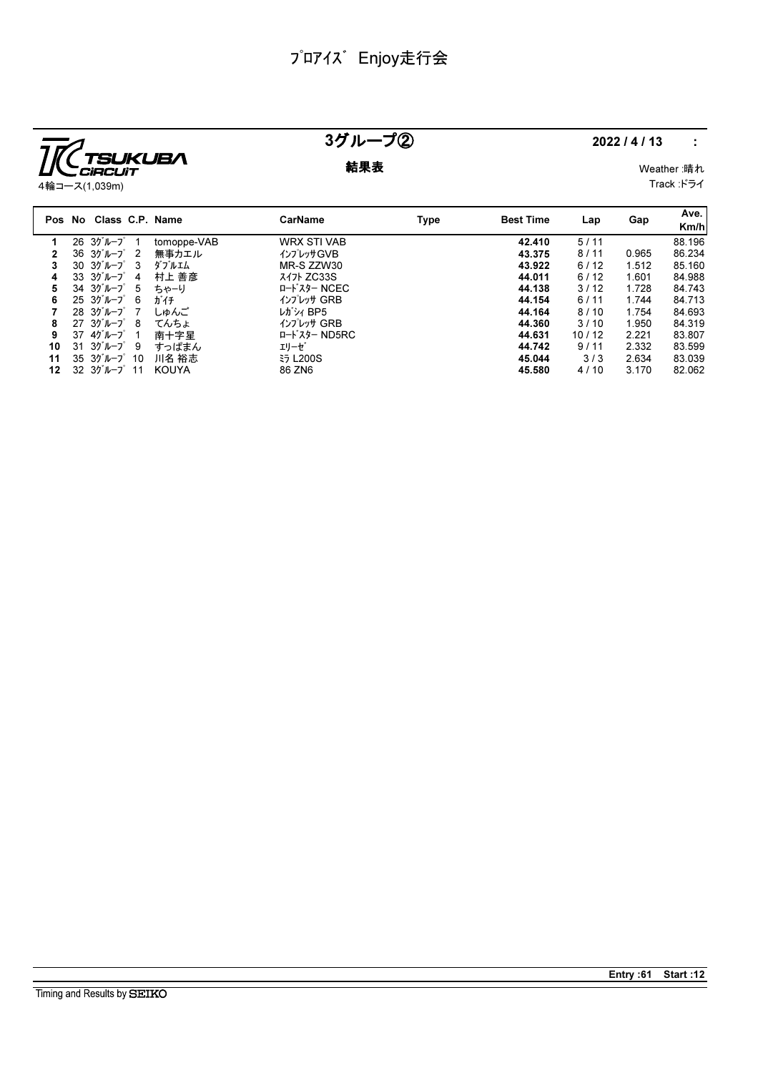

### 3グループ② 2022/4/13 :

**結果表** Weather :晴れ

Track :ドライ

|    | Pos No Class C.P. Name                            |             | CarName            | Type | <b>Best Time</b> | Lap   | Gap   | Ave.<br>Km/h |
|----|---------------------------------------------------|-------------|--------------------|------|------------------|-------|-------|--------------|
|    | $26.30 \text{ m} - 7^{\circ}$ 1                   | tomoppe-VAB | <b>WRX STI VAB</b> |      | 42.410           | 5/11  |       | 88.196       |
|    | $36 \t37'' - 7'$ 2                                | 無事カエル       | インプレッサGVB          |      | 43.375           | 8/11  | 0.965 | 86.234       |
| 3  | $30.30^{11}-7^{2}3$                               | ダブルエム       | MR-S ZZW30         |      | 43.922           | 6/12  | 1.512 | 85.160       |
| 4  | $33.35'' h - 7'$ 4                                | 村上 善彦       | <b>347 ZC33S</b>   |      | 44.011           | 6/12  | 1.601 | 84.988       |
| 5  | $34.30^{\circ}$ $\mu$ $-7^{\circ}$ 5              | ちゃーり        | ロードスター NCEC        |      | 44.138           | 3/12  | 1.728 | 84.743       |
| 6  | $25 \frac{3}{7}$ $\frac{1}{2}$ $\frac{1}{6}$      | ガイチ         | インプレッサ GRB         |      | 44.154           | 6/11  | 1.744 | 84.713       |
|    | $28.30 \text{ m} - 7^{\circ}$ 7                   | しゅんご        | レガシィ BP5           |      | 44.164           | 8/10  | 1.754 | 84.693       |
| 8  | $27 \t30^{\circ} \nu - 7^{\circ} \t8$             | てんちょ        | インプレッサ GRB         |      | 44.360           | 3/10  | 1.950 | 84.319       |
| 9  | $37 \t47'' - 7' \t1$                              | 南十字星        | ロードスター ND5RC       |      | 44.631           | 10/12 | 2.221 | 83.807       |
| 10 | $31 \t35''$ $\nu - 7^\circ$ 9                     | すっぱまん       | エリーゼ               |      | 44.742           | 9/11  | 2.332 | 83.599       |
| 11 | $35.3$ <sup>y'</sup> $\nu$ - $7^\circ$ 10         | 川名 裕志       | <b>ED L200S</b>    |      | 45.044           | 3/3   | 2.634 | 83.039       |
| 12 | $32 \frac{3}{7}$ $\frac{1}{2}$ $\frac{1}{2}$ $11$ | KOUYA       | 86 ZN6             |      | 45.580           | 4/10  | 3.170 | 82.062       |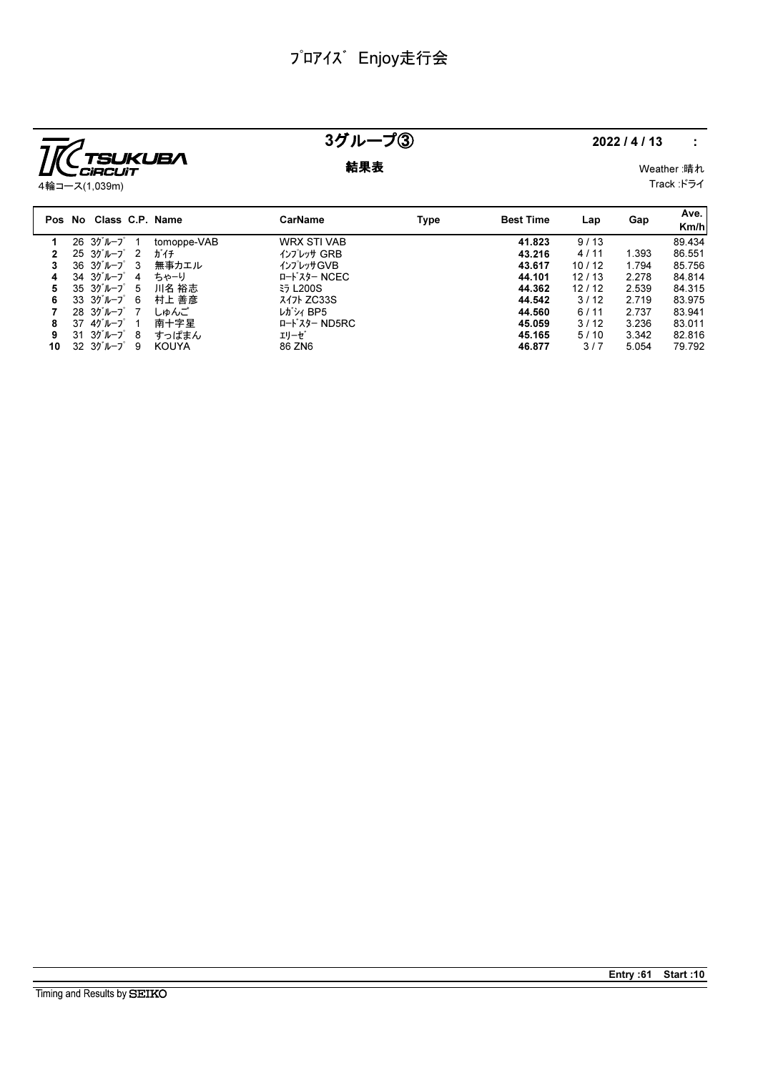

### 3グループ③ 2022/4/13 :

**結果表** Weather :晴れ

4輪コース(1,039m)

Track :ドライ

|    | Pos No Class C.P. Name                 |              | CarName            | Type | <b>Best Time</b> | Lap   | Gap   | Ave.<br>Km/h |
|----|----------------------------------------|--------------|--------------------|------|------------------|-------|-------|--------------|
|    | $26 \t37 \nu - 7$ 1                    | tomoppe-VAB  | <b>WRX STI VAB</b> |      | 41.823           | 9/13  |       | 89.434       |
|    | $25 \frac{3}{7}$ $\frac{1}{2}$ 2       | ガイチ          | インプレッサ GRB         |      | 43.216           | 4/11  | 1.393 | 86.551       |
|    | $36 \t37'' - 7' \t3$                   | 無事カエル        | インプレッサGVB          |      | 43.617           | 10/12 | 1.794 | 85.756       |
| 4  | $34 \t37 \nu - 7$ 4                    | ちゃーり         | ロードスター NCEC        |      | 44.101           | 12/13 | 2.278 | 84.814       |
| 5. | $35 \frac{3}{10} - 7^{\circ}$ 5        | 川名 裕志        | <b>₹∋ L200S</b>    |      | 44.362           | 12/12 | 2.539 | 84.315       |
| 6  | $33 \frac{3}{7}$ $10 - \frac{7}{7}$ 6  | 村上 善彦        | スイフト ZC33S         |      | 44.542           | 3/12  | 2.719 | 83.975       |
|    | $28.3$ <sup>y'</sup> $\nu$ - $7.7$     | しゅんご         | レガシィ BP5           |      | 44.560           | 6/11  | 2.737 | 83.941       |
| 8  | 37 4グループ<br>-1                         | 南十字星         | ロードスター ND5RC       |      | 45.059           | 3/12  | 3.236 | 83.011       |
| 9  | $31 \t30^{\circ}$ $\mu$ $-2^{\circ}$ 8 | すっぱまん        | エリーゼ               |      | 45.165           | 5/10  | 3.342 | 82.816       |
| 10 | $32 \t37'' - 7' \t9$                   | <b>KOUYA</b> | 86 ZN6             |      | 46.877           | 3/7   | 5.054 | 79.792       |